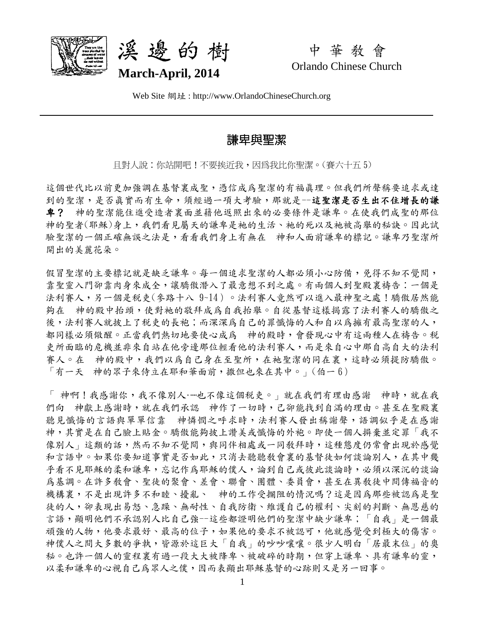



中 華 教 會 Orlando Chinese Church

Web Site 網址 : http://www.OrlandoChineseChurch.org

# 謙卑與聖潔

日對人說:你站開吧!不要挨沂我,因為我比你聖潔。(賽六十五 5)

這個世代比以前更加強調在基督裏成聖,憑信成為聖潔的有福真理。但我們所聲稱要追求或達 到的聖潔,是否真實而有生命,須經過一項大考驗,那就是一這聖潔是否生出不住增長的謙 卑? 神的聖潔能住進受造者裏面並藉他返照出來的必要條件是謙卑。在使我們成聖的那位 神的聖者(耶穌)身上,我們看見屬天的謙卑是祂的生活、祂的死以及祂被高舉的秘訣。因此試 驗聖潔的一個正確無誤之法是,看看我們身上有無在 神和人面前謙卑的標記。謙卑乃聖潔所 開出的美麗花朵。

假冒聖潔的主要標記就是缺乏謙卑。每一個追求聖潔的人都必須小心防備,免得不知不覺間, 靠聖靈入門卻靠肉身來成全,讓驕傲潛入了最意想不到之處。有兩個人到聖殿裏禱告:一個是 法利賽人,另一個是稅吏(參路十八 9~14)。法利賽人竟然可以進入最神聖之處!驕傲居然能 夠在 神的殿中抬頭,使對衪的敬拜成為自我抬舉。自從基督這樣揭露了法利賽人的驕傲之 後,法利賽人就披上了稅吏的長袍;而深深為自己的罪懺悔的人和自以為擁有最高聖潔的人, 都同樣必須儆醒。正當我們熱切地要使心成為 神的殿時,會發現心中有這兩種人在禱告。稅 吏所面臨的危機並非來自站在他旁邊那位輕看他的法利賽人,而是來自心中那自高自大的法利 賽人。在 神的殿中,我們以為自己身在至聖所,在祂聖潔的同在裏,這時必須提防驕傲。 「有一天 神的眾子來侍立在耶和華面前,撒但也來在其中。」(伯一 6)

「 神啊!我感謝你,我不像別人……也不像這個稅吏。」就在我們有理由感謝 神時,就在我 們向 神獻上感謝時,就在我們承認 神作了一切時,己卻能找到自滿的理由。甚至在聖殿裏 聽見懺悔的言語與單單信靠 神憐憫之呼求時,法利賽人發出稱謝聲,語調似乎是在感謝 神,其實是在自己臉上貼金。驕傲能夠披上讚美或懺悔的外袍。即使一個人摒棄並定罪「我不 像別人」這類的話,然而不知不覺間,與同伴相處或一同教拜時,這種態度仍常會出現於感覺 和言語中。如果你要知道事實是否如此,只消去聽聽教會裏的基督徒如何談論別人,在其中幾 乎看不見耶穌的柔和謙卑,忘記作為耶穌的僕人,論到自己或彼此談論時,必須以深沉的談論 為基調。在許多敎會、聖徒的聚會、差會、聯會、團體、委員會,甚至在異敎徒中間傳福音的 機構裏,不是出現許多不和睦、擾亂、 神的工作受攔阻的情況嗎?這是因為那些被認為是聖 徒的人,卻表現出易怒、急躁、無耐性、自我防衛、維護自己的權利、尖刻的判斷、無恩慈的 言語,顯明他們不承認別人比自己強--這些都證明他們的聖潔中缺少謙卑;「自我」是一個最 頑強的人物,他要求最好、最高的位子,如果他的要求不被認可,他就感覺受到極大的傷害。 神僕人之間大多數的爭執,皆源於這巨大「自我」的吵吵嚷嚷。很少人明白「居最末位」的奧 秘。也許一個人的靈程裏有過一段大大被降卑、被破碎的時期,但穿上謙卑、具有謙卑的靈, 以柔和謙卑的心視自己為眾人之僕,因而表顯出耶穌基督的心跡則又是另一回事。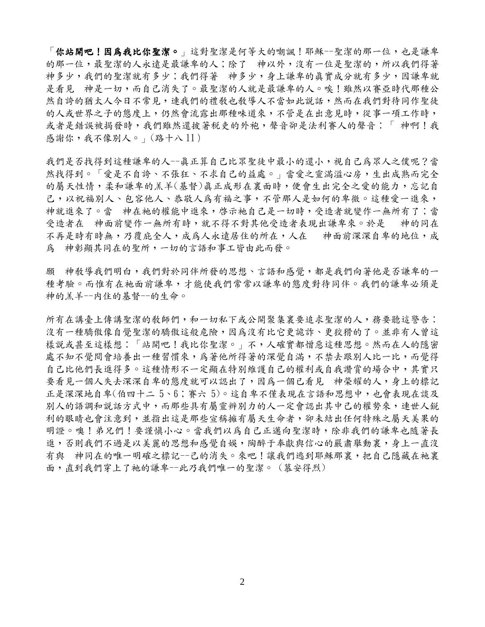「你站開吧!因爲我比你聖潔 o , 這對聖潔是何等大的嘲諷!耶穌--聖潔的那一位,也是謙卑 的那一位,最聖潔的人永遠是最謙卑的人;除了 神以外,沒有一位是聖潔的,所以我們得著 神多少,我們的聖潔就有多少;我們得著 神多少,身上謙卑的真實成分就有多少,因謙卑就 是看見 神是一切,而自己消失了。最聖潔的人就是最謙卑的人。唉!雖然以審亞時代那種公 然自誇的猶太人今日不常見,連我們的禮敎也教導人不當如此說話,然而在我們對待同作聖徒 的人或世界之子的態度上,仍然會流露出那種味道來,不管是在出意見時,從事一項工作時, 或者是錯誤被揭發時,我們雖然還披著稅吏的外袍,聲音卻是法利賽人的聲音:「 神啊!我 感謝你,我不像別人。」(路十八 11)

我們是否找得到這種謙卑的人--真正算自己比眾聖徒中最小的還小,視自己為眾人之僕呢?當 然找得到。「愛是不自誇、不張狂、不求自己的益處。」當愛之靈滿溢心房,生出成熟而完全 的屬天性情,柔和謙卑的羔羊(基督)真正成形在裏面時,便會生出完全之愛的能力,忘記自 己,以祝福別人、包容他人、恭敬人為有福之事,不管那人是如何的卑微。這種愛一進來, 神就進來了。當 神在祂的權能中進來,啓示祂自己是一切時,受造者就變作一無所有了;當 受造者在 神面前變作一無所有時,就不得不對其他受造者表現出謙卑來。於是 神的同在 不再是時有時無,乃覆庇全人,成為人永遠居住的所在,人在 神面前深深自卑的地位,成 為 神彰顯其同在的聖所,一切的言語和事工皆由此而發。

願 神教導我們明白,我們對於同伴所發的思想、言語和感覺,都是我們向著他是否謙卑的一 種考驗。而惟有在衪面前謙卑,才能使我們常常以謙卑的態度對待同伴。我們的謙卑必須是 神的羔羊--內住的基督--的生命。

所有在講臺上傳講聖潔的教師們,和一切私下或公開聚集裏要追求聖潔的人,務要聽這警告: 沒有一種驕傲像自覺聖潔的驕傲這般危險,因為沒有比它更詭詐、更狡猾的了。並非有人曾這 樣說或甚至這樣想:「站開吧!我比你聖潔。」不,人確實都憎惡這種思想。然而在人的隱密 處不知不覺間會培養出一種習慣來,為著他所得著的深覺自滿,不禁去跟別人比一比,而覺得 自己比他們長進得多。這種情形不一定顯在特別維護自己的權利或自我讚賞的場合中,其實只 要看見一個人失去深深自卑的態度就可以認出了,因為一個已看見 神榮耀的人,身上的標記 正是深深地自卑(伯四十二 5、6;賽六 5)。這自卑不僅表現在言語和思想中,也會表現在談及 別人的語調和說話方式中,而那些具有屬靈辨別力的人一定會認出其中己的權勢來,連世人銳 利的眼睛也會注意到,並指出這是那些宣稱擁有屬天生命者,卻未結出任何特殊之屬天美果的 明證。噢!弟兄們!要謹慎小心。當我們以為自己正邁向聖潔時,除非我們的謙卑也隨著長 進,否則我們不過是以美麗的思想和感覺自娛,陶醉于奉獻與信心的嚴肅舉動裏,身上一直沒 有與 神同在的唯一明確之標記--己的消失。來吧!讓我們逃到耶穌那裏,把自己隱藏在衪裏 面,直到我們穿上了衪的謙卑--此乃我們唯一的聖潔。 (慕安得烈)

2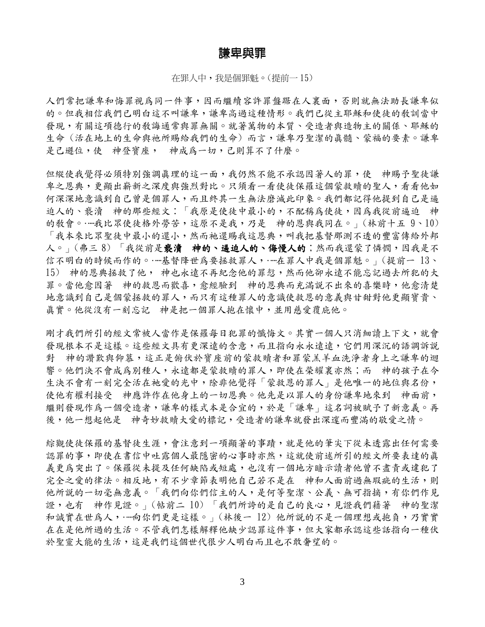### 謙卑與罪

在罪人中,我是個罪魁。(提前一 15)

人們常把謙卑和悔罪視為同一件事,因而繼續容許罪盤踞在人裏面,否則就無法助長謙卑似 的。但我相信我們已明白這不叫謙卑,謙卑高過這種情形。我們已從主耶穌和使徒的教訓當中 發現,有關這項德行的教誨通常與罪無關。就著萬物的本質、受造者與造物主的關係、耶穌的 生命 (活在地上的生命解鸦给我們的生命) 而言,謙卑乃聖潔的真髓、蒙福的要素。謙卑 是己遜位,使 神登寶座, 神成為一切,己則算不了什麼。

但縱使我覺得必須特別強調真理的這一面,我仍然不能不承認因著人的罪,使 神賜予聖徒謙 卑之恩典,更顯出嶄新之深度與強烈對比。只須看一看使徒保羅這個蒙救贖的聖人,看看他如 何深深地意識到自己曾是個罪人,而且終其一生無法磨滅此印象。我們都記得他提到自己是逼 迫人的、褻瀆 神的那些經文:「我原是使徒中最小的,不配稱為使徒,因為我從前逼迫 神 的教會。……我比眾使徒格外勞苦,這原不是我,乃是 神的恩與我同在。」(林前十五9、10) 「我本來比眾聖徒中最小的還小,然而衪還賜我這恩典,叫我把基督那測不透的豐富傳給外邦 人。」(弗三8)「我從前是褻瀆 神的、逼迫人的、侮慢人的;然而我還蒙了憐憫,因我是不 信不明白的時候而作的。……基督降世為要拯救罪人,……在罪人中我是個罪魁。」(提前一 13、 15) 神的恩典拯救了他, 神也永遠不再紀念他的罪愆,然而他卻永遠不能忘記過去所犯的大 罪。當他愈因著 神的救恩而歡喜,愈經驗到 神的恩典而充滿說不出來的喜樂時,他愈清楚 地意識到自己是個蒙拯救的罪人,而只有這種罪人的意識使救恩的意義與甘甜對他更顯寶貴、 真實。他從沒有一刻忘記 神是把一個罪人抱在懷中,並用慈愛覆庇他。

剛才我們所引的經文常被人當作是保羅每日犯罪的懺悔文。其實一個人只消細讀上下文,就會 發現根本不是這樣。這些經文具有更深遠的含意,而且指向永永遠遠,它們用深沉的語調訴説 對 神的讚歎與仰慕,這正是俯伏於寶座前的蒙救贖者和罪蒙羔羊血洗淨者身上之謙卑的迴 響。他們決不會成為別種人,永遠都是蒙救贖的罪人,即使在榮耀裏亦然;而 神的孩子在今 生決不會有一刻完全活在祂愛的光中,除非他覺得「蒙救恩的罪人」是他唯一的地位與名份, 使他有權利接受 神應許作在他身上的一切恩典。他先是以罪人的身份謙卑地來到 神面前, 繼則發現作為一個受造者,謙卑的樣式本是合宜的,於是「謙卑」這名詞被賦予了新意義。再 後,他一想起他是 神奇妙救贖大愛的標記,受造者的謙卑就發出深邃而豐滿的敬愛之情。

綜觀使徒保羅的基督徒生涯,會注意到一項顯著的事蹟,就是他的筆尖下從未透露出任何需要 認罪的事,即使在書信中吐露個人最隱密的心事時亦然,這就使前述所引的經文所要表達的真 義更為突出了。保羅從未提及任何缺陷或短處,也沒有一個地方暗示讀者他曾不盡責或違犯了 完全之愛的律法。相反地,有不少章節表明他自己若不是在 神和人面前過無瑕疵的生活,則 他所説的一切毫無意義。「我們向你們信主的人,是何等聖潔、公義、無可指摘,有你們作見 證,也有 神作見證。」(帖前二10)「我們所誇的是自己的良心,見證我們藉著 神的聖潔 和誠實在世為人,……向你們更是這樣。」(林後一12)他所說的不是一個理想或抱負,乃實實 在在是他所過的生活。不管我們怎樣解釋他缺少認罪這件事,但大家都承認這些話指向一種伏 於聖靈大能的生活,這是我們這個世代很少人明白而且也不敢奢望的。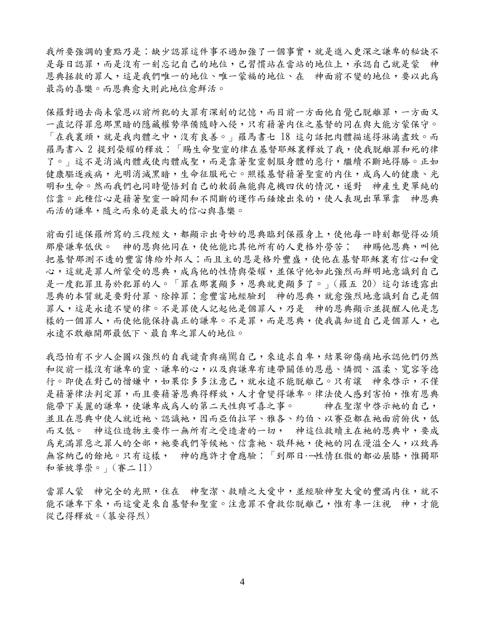我所要強調的重點乃是:缺少認罪這件事不過加強了一個事實,就是進入更深之謙卑的秘訣不 是每日認罪,而是沒有一刻忘記自己的地位,已習慣站在當站的地位上,承認自己就是蒙 神 恩典拯救的罪人,這是我們唯一的地位、唯一蒙福的地位、在 神面前不變的地位,要以此為 最高的喜樂。而恩典愈大則此地位愈鮮活。

保羅對過去尚未蒙恩以前所犯的大罪有深刻的記憶,而目前一方面他自覺已脫離罪,一方面又 一直記得罪惡那黑暗的隱藏權勢準備隨時入侵,只有藉著内住之基督的同在與大能方蒙保守。 「在我裏頭,就是我肉體之中,沒有良善。」羅馬書七 18 這句話把肉體描述得淋漓盡致。而 羅馬書八 2 提到榮耀的釋放:「賜生命聖靈的律在基督耶穌裏釋放了我,使我脫離罪和死的律 了。」這不是消滅肉體或使肉體成聖,而是靠著聖靈制服身體的惡行,繼續不斷地得勝。正如 健康驅逐疾病,光明消滅黑暗,生命征服死亡。照樣基督藉著聖靈的内住,成為人的健康、光 明和生命。然而我們也同時覺悟到自己的軟弱無能與危機四伏的情況,遂對 神產生更單純的 信靠。此種信心是藉著聖靈一瞬間和不間斷的運作而錘煉出來的,使人表現出單單靠 神恩典 而活的謙卑,隨之而來的是最大的信心與喜樂。

前面引述保羅所寫的三段經文,都顯示出奇妙的恩典臨到保羅身上,使他每一時刻都覺得必須 那麼謙卑低伏。 神的恩與他同在,使他能比其他所有的人更格外勞苦; 神賜他恩典,叫他 把基督那測不透的豐富傳給外邦人;而且主的恩是格外豐盛,使他在基督耶穌裏有信心和愛 心,這就是罪人所蒙受的恩典,成為他的性情與榮耀,並保守他如此強烈而鮮明地意識到自己 是一度犯罪且易於犯罪的人。「罪在那裏顯多,恩典就更顯多了。」(羅五 20) 這句話透露出 恩典的本質就是要對付罪、除掉罪;愈豐富地經驗到 神的恩典,就愈強烈地意識到自己是個 罪人,這是永遠不變的律。不是罪使人記起他是個罪人,乃是 神的恩典顯示並提醒人他是怎 樣的一個罪人,而使他能保持真正的謙卑。不是罪,而是恩典,使我真知道自己是個罪人,也 永遠不敢離開那最低下、最自卑之罪人的地位。

我恐怕有不少人企圖以強烈的自我譴責與痛罵自己,來追求自卑,結果卻傷痛地承認他們仍然 和從前一樣沒有謙卑的靈、謙卑的心,以及與謙卑有連帶關係的恩慈、憐憫、溫柔、寬容等德 行。即使在對己的憎嫌中,如果你多多注意己,就永遠不能脫離己。只有讓 神來啓示,不僅 是藉著律法判定罪,而且要藉著恩典得釋放,人才會變得謙卑。律法使人感到害怕,惟有恩典 能帶下美麗的謙卑,使謙卑成為人的第二天性與可喜之事。 神在聖潔中啓示衪的自己, 並且在恩典中使人就近祂、認識祂,因而亞伯拉罕、雅各、約伯、以賽亞都在祂面前俯伏,低 而又低。 神這位造物主要作一無所有之受造者的一切, 神這位救贖主在衪的恩典中,要成 為充滿罪惡之罪人的全部,祂要我們等候祂、信靠祂、敬拜祂,使祂的同在漫溢全人,以致再 無容納己的餘地。只有這樣, 神的應許才會應驗:「到那日……性情狂傲的都必屈膝,惟獨耶 和華被尊崇。」(賽二 11)

當罪人蒙 神完全的光照,住在 神聖潔、救贖之大愛中,並經驗神聖大愛的豐滿內住,就不 能不謙卑下來,而這愛是來自基督和聖靈。注意罪不會救你脫離己,惟有專一注視 神,才能 從己得釋放。(慕安得烈)

4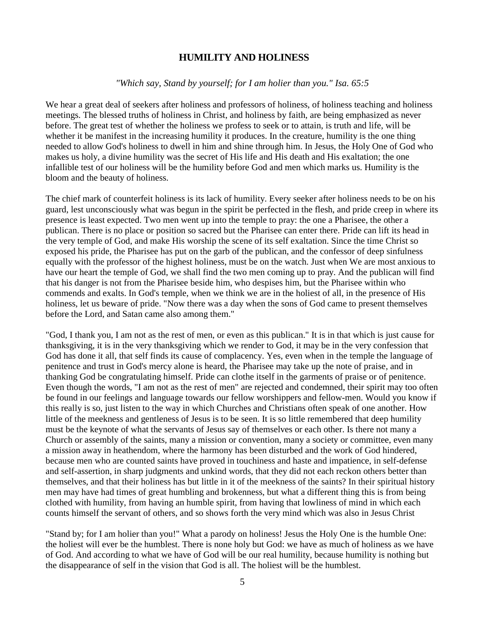### **HUMILITY AND HOLINESS**

#### *"Which say, Stand by yourself; for I am holier than you." Isa. 65:5*

We hear a great deal of seekers after holiness and professors of holiness, of holiness teaching and holiness meetings. The blessed truths of holiness in Christ, and holiness by faith, are being emphasized as never before. The great test of whether the holiness we profess to seek or to attain, is truth and life, will be whether it be manifest in the increasing humility it produces. In the creature, humility is the one thing needed to allow God's holiness to dwell in him and shine through him. In Jesus, the Holy One of God who makes us holy, a divine humility was the secret of His life and His death and His exaltation; the one infallible test of our holiness will be the humility before God and men which marks us. Humility is the bloom and the beauty of holiness.

The chief mark of counterfeit holiness is its lack of humility. Every seeker after holiness needs to be on his guard, lest unconsciously what was begun in the spirit be perfected in the flesh, and pride creep in where its presence is least expected. Two men went up into the temple to pray: the one a Pharisee, the other a publican. There is no place or position so sacred but the Pharisee can enter there. Pride can lift its head in the very temple of God, and make His worship the scene of its self exaltation. Since the time Christ so exposed his pride, the Pharisee has put on the garb of the publican, and the confessor of deep sinfulness equally with the professor of the highest holiness, must be on the watch. Just when We are most anxious to have our heart the temple of God, we shall find the two men coming up to pray. And the publican will find that his danger is not from the Pharisee beside him, who despises him, but the Pharisee within who commends and exalts. In God's temple, when we think we are in the holiest of all, in the presence of His holiness, let us beware of pride. "Now there was a day when the sons of God came to present themselves before the Lord, and Satan came also among them."

"God, I thank you, I am not as the rest of men, or even as this publican." It is in that which is just cause for thanksgiving, it is in the very thanksgiving which we render to God, it may be in the very confession that God has done it all, that self finds its cause of complacency. Yes, even when in the temple the language of penitence and trust in God's mercy alone is heard, the Pharisee may take up the note of praise, and in thanking God be congratulating himself. Pride can clothe itself in the garments of praise or of penitence. Even though the words, "I am not as the rest of men" are rejected and condemned, their spirit may too often be found in our feelings and language towards our fellow worshippers and fellow-men. Would you know if this really is so, just listen to the way in which Churches and Christians often speak of one another. How little of the meekness and gentleness of Jesus is to be seen. It is so little remembered that deep humility must be the keynote of what the servants of Jesus say of themselves or each other. Is there not many a Church or assembly of the saints, many a mission or convention, many a society or committee, even many a mission away in heathendom, where the harmony has been disturbed and the work of God hindered, because men who are counted saints have proved in touchiness and haste and impatience, in self-defense and self-assertion, in sharp judgments and unkind words, that they did not each reckon others better than themselves, and that their holiness has but little in it of the meekness of the saints? In their spiritual history men may have had times of great humbling and brokenness, but what a different thing this is from being clothed with humility, from having an humble spirit, from having that lowliness of mind in which each counts himself the servant of others, and so shows forth the very mind which was also in Jesus Christ

"Stand by; for I am holier than you!" What a parody on holiness! Jesus the Holy One is the humble One: the holiest will ever be the humblest. There is none holy but God: we have as much of holiness as we have of God. And according to what we have of God will be our real humility, because humility is nothing but the disappearance of self in the vision that God is all. The holiest will be the humblest.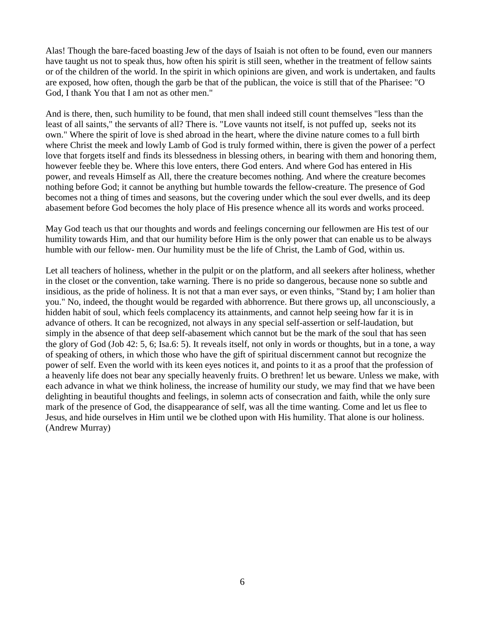Alas! Though the bare-faced boasting Jew of the days of Isaiah is not often to be found, even our manners have taught us not to speak thus, how often his spirit is still seen, whether in the treatment of fellow saints or of the children of the world. In the spirit in which opinions are given, and work is undertaken, and faults are exposed, how often, though the garb be that of the publican, the voice is still that of the Pharisee: "O God, I thank You that I am not as other men."

And is there, then, such humility to be found, that men shall indeed still count themselves "less than the least of all saints," the servants of all? There is. "Love vaunts not itself, is not puffed up, seeks not its own." Where the spirit of love is shed abroad in the heart, where the divine nature comes to a full birth where Christ the meek and lowly Lamb of God is truly formed within, there is given the power of a perfect love that forgets itself and finds its blessedness in blessing others, in bearing with them and honoring them, however feeble they be. Where this love enters, there God enters. And where God has entered in His power, and reveals Himself as All, there the creature becomes nothing. And where the creature becomes nothing before God; it cannot be anything but humble towards the fellow-creature. The presence of God becomes not a thing of times and seasons, but the covering under which the soul ever dwells, and its deep abasement before God becomes the holy place of His presence whence all its words and works proceed.

May God teach us that our thoughts and words and feelings concerning our fellowmen are His test of our humility towards Him, and that our humility before Him is the only power that can enable us to be always humble with our fellow- men. Our humility must be the life of Christ, the Lamb of God, within us.

Let all teachers of holiness, whether in the pulpit or on the platform, and all seekers after holiness, whether in the closet or the convention, take warning. There is no pride so dangerous, because none so subtle and insidious, as the pride of holiness. It is not that a man ever says, or even thinks, "Stand by; I am holier than you." No, indeed, the thought would be regarded with abhorrence. But there grows up, all unconsciously, a hidden habit of soul, which feels complacency its attainments, and cannot help seeing how far it is in advance of others. It can be recognized, not always in any special self-assertion or self-laudation, but simply in the absence of that deep self-abasement which cannot but be the mark of the soul that has seen the glory of God (Job 42: 5, 6; Isa.6: 5). It reveals itself, not only in words or thoughts, but in a tone, a way of speaking of others, in which those who have the gift of spiritual discernment cannot but recognize the power of self. Even the world with its keen eyes notices it, and points to it as a proof that the profession of a heavenly life does not bear any specially heavenly fruits. O brethren! let us beware. Unless we make, with each advance in what we think holiness, the increase of humility our study, we may find that we have been delighting in beautiful thoughts and feelings, in solemn acts of consecration and faith, while the only sure mark of the presence of God, the disappearance of self, was all the time wanting. Come and let us flee to Jesus, and hide ourselves in Him until we be clothed upon with His humility. That alone is our holiness. (Andrew Murray)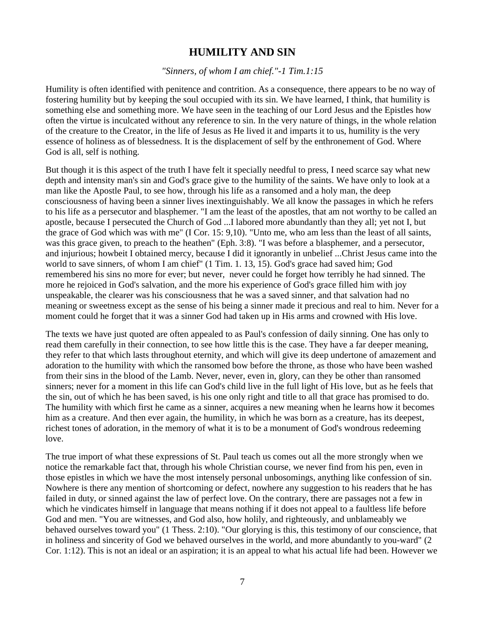## **HUMILITY AND SIN**

*"Sinners, of whom I am chief."-1 Tim.1:15* 

Humility is often identified with penitence and contrition. As a consequence, there appears to be no way of fostering humility but by keeping the soul occupied with its sin. We have learned, I think, that humility is something else and something more. We have seen in the teaching of our Lord Jesus and the Epistles how often the virtue is inculcated without any reference to sin. In the very nature of things, in the whole relation of the creature to the Creator, in the life of Jesus as He lived it and imparts it to us, humility is the very essence of holiness as of blessedness. It is the displacement of self by the enthronement of God. Where God is all, self is nothing.

But though it is this aspect of the truth I have felt it specially needful to press, I need scarce say what new depth and intensity man's sin and God's grace give to the humility of the saints. We have only to look at a man like the Apostle Paul, to see how, through his life as a ransomed and a holy man, the deep consciousness of having been a sinner lives inextinguishably. We all know the passages in which he refers to his life as a persecutor and blasphemer. "I am the least of the apostles, that am not worthy to be called an apostle, because I persecuted the Church of God ...I labored more abundantly than they all; yet not I, but the grace of God which was with me" (I Cor. 15: 9,10). "Unto me, who am less than the least of all saints, was this grace given, to preach to the heathen" (Eph. 3:8). "I was before a blasphemer, and a persecutor, and injurious; howbeit I obtained mercy, because I did it ignorantly in unbelief ...Christ Jesus came into the world to save sinners, of whom I am chief" (1 Tim. 1. 13, 15). God's grace had saved him; God remembered his sins no more for ever; but never, never could he forget how terribly he had sinned. The more he rejoiced in God's salvation, and the more his experience of God's grace filled him with joy unspeakable, the clearer was his consciousness that he was a saved sinner, and that salvation had no meaning or sweetness except as the sense of his being a sinner made it precious and real to him. Never for a moment could he forget that it was a sinner God had taken up in His arms and crowned with His love.

The texts we have just quoted are often appealed to as Paul's confession of daily sinning. One has only to read them carefully in their connection, to see how little this is the case. They have a far deeper meaning, they refer to that which lasts throughout eternity, and which will give its deep undertone of amazement and adoration to the humility with which the ransomed bow before the throne, as those who have been washed from their sins in the blood of the Lamb. Never, never, even in, glory, can they be other than ransomed sinners; never for a moment in this life can God's child live in the full light of His love, but as he feels that the sin, out of which he has been saved, is his one only right and title to all that grace has promised to do. The humility with which first he came as a sinner, acquires a new meaning when he learns how it becomes him as a creature. And then ever again, the humility, in which he was born as a creature, has its deepest, richest tones of adoration, in the memory of what it is to be a monument of God's wondrous redeeming love.

The true import of what these expressions of St. Paul teach us comes out all the more strongly when we notice the remarkable fact that, through his whole Christian course, we never find from his pen, even in those epistles in which we have the most intensely personal unbosomings, anything like confession of sin. Nowhere is there any mention of shortcoming or defect, nowhere any suggestion to his readers that he has failed in duty, or sinned against the law of perfect love. On the contrary, there are passages not a few in which he vindicates himself in language that means nothing if it does not appeal to a faultless life before God and men. "You are witnesses, and God also, how holily, and righteously, and unblameably we behaved ourselves toward you" (1 Thess. 2:10). "Our glorying is this, this testimony of our conscience, that in holiness and sincerity of God we behaved ourselves in the world, and more abundantly to you-ward" (2 Cor. 1:12). This is not an ideal or an aspiration; it is an appeal to what his actual life had been. However we